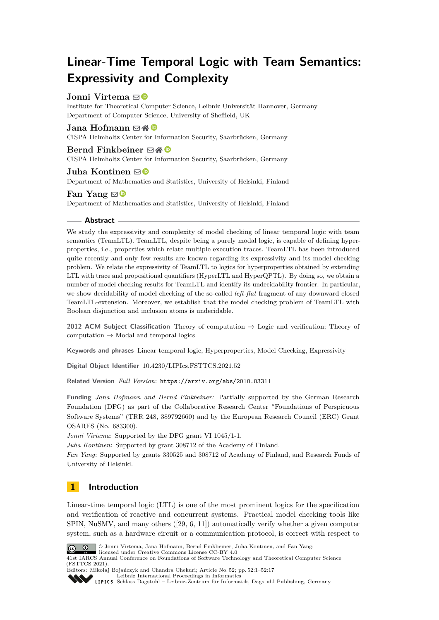# **Linear-Time Temporal Logic with Team Semantics: Expressivity and Complexity**

# **Jonni Virtema**  $\boxtimes$

Institute for Theoretical Computer Science, Leibniz Universität Hannover, Germany Department of Computer Science, University of Sheffield, UK

# Jana Hofmann ⊠**∦®**

CISPA Helmholtz Center for Information Security, Saarbrücken, Germany

# **Bernd Finkbeiner** ⊠ N

CISPA Helmholtz Center for Information Security, Saarbrücken, Germany

# **Juha Kontinen** ⊠<sup>■</sup>

Department of Mathematics and Statistics, University of Helsinki, Finland

## Fan Yang  $\boxtimes$

Department of Mathematics and Statistics, University of Helsinki, Finland

## **Abstract**

We study the expressivity and complexity of model checking of linear temporal logic with team semantics (TeamLTL). TeamLTL, despite being a purely modal logic, is capable of defining hyperproperties, i.e., properties which relate multiple execution traces. TeamLTL has been introduced quite recently and only few results are known regarding its expressivity and its model checking problem. We relate the expressivity of TeamLTL to logics for hyperproperties obtained by extending LTL with trace and propositional quantifiers (HyperLTL and HyperQPTL). By doing so, we obtain a number of model checking results for TeamLTL and identify its undecidability frontier. In particular, we show decidability of model checking of the so-called *left-flat* fragment of any downward closed TeamLTL-extension. Moreover, we establish that the model checking problem of TeamLTL with Boolean disjunction and inclusion atoms is undecidable.

**2012 ACM Subject Classification** Theory of computation → Logic and verification; Theory of computation  $\rightarrow$  Modal and temporal logics

**Keywords and phrases** Linear temporal logic, Hyperproperties, Model Checking, Expressivity

**Digital Object Identifier** [10.4230/LIPIcs.FSTTCS.2021.52](https://doi.org/10.4230/LIPIcs.FSTTCS.2021.52)

**Related Version** *Full Version*: <https://arxiv.org/abs/2010.03311>

**Funding** *Jana Hofmann and Bernd Finkbeiner:* Partially supported by the German Research Foundation (DFG) as part of the Collaborative Research Center "Foundations of Perspicuous Software Systems" (TRR 248, 389792660) and by the European Research Council (ERC) Grant OSARES (No. 683300).

*Jonni Virtema*: Supported by the DFG grant VI 1045/1-1.

*Juha Kontinen*: Supported by grant 308712 of the Academy of Finland.

*Fan Yang*: Supported by grants 330525 and 308712 of Academy of Finland, and Research Funds of University of Helsinki.

# **1 Introduction**

Linear-time temporal logic (LTL) is one of the most prominent logics for the specification and verification of reactive and concurrent systems. Practical model checking tools like SPIN, NuSMV, and many others ([\[29,](#page-15-0) [6,](#page-14-0) [11\]](#page-14-1)) automatically verify whether a given computer system, such as a hardware circuit or a communication protocol, is correct with respect to



© Jonni Virtema, Jana Hofmann, Bernd Finkbeiner, Juha Kontinen, and Fan Yang;

licensed under Creative Commons License CC-BY 4.0 41st IARCS Annual Conference on Foundations of Software Technology and Theoretical Computer Science (FSTTCS 2021).



Editors: Mikołaj Bojańczyk and Chandra Chekuri; Article No. 52; pp. 52:1–52:17 [Leibniz International Proceedings in Informatics](https://www.dagstuhl.de/lipics/)

[Schloss Dagstuhl – Leibniz-Zentrum für Informatik, Dagstuhl Publishing, Germany](https://www.dagstuhl.de)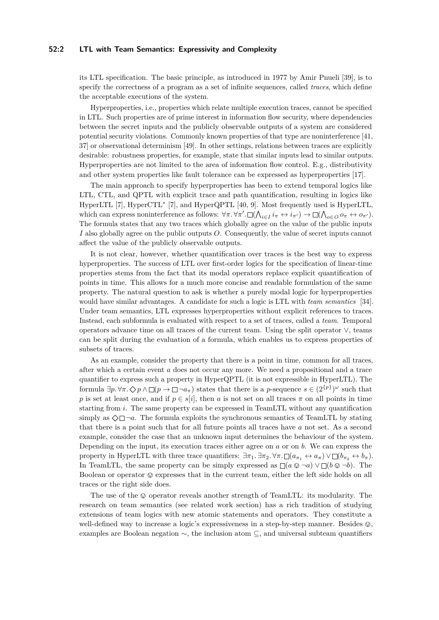## **52:2 LTL with Team Semantics: Expressivity and Complexity**

its LTL specification. The basic principle, as introduced in 1977 by Amir Pnueli [\[39\]](#page-16-0), is to specify the correctness of a program as a set of infinite sequences, called *traces*, which define the acceptable executions of the system.

Hyperproperties, i.e., properties which relate multiple execution traces, cannot be specified in LTL. Such properties are of prime interest in information flow security, where dependencies between the secret inputs and the publicly observable outputs of a system are considered potential security violations. Commonly known properties of that type are noninterference [\[41,](#page-16-1) [37\]](#page-16-2) or observational determinism [\[49\]](#page-16-3). In other settings, relations between traces are explicitly desirable: robustness properties, for example, state that similar inputs lead to similar outputs. Hyperproperties are not limited to the area of information flow control. E.g., distributivity and other system properties like fault tolerance can be expressed as hyperproperties [\[17\]](#page-14-2).

The main approach to specify hyperproperties has been to extend temporal logics like LTL, CTL, and QPTL with explicit trace and path quantification, resulting in logics like HyperLTL [\[7\]](#page-14-3), HyperCTL<sup>\*</sup> [7], and HyperQPTL [\[40,](#page-16-4) [9\]](#page-14-4). Most frequently used is HyperLTL, which can express noninterference as follows:  $\forall \pi$ .  $\forall \pi'$ .  $\square(\bigwedge_{i \in I} i_{\pi} \leftrightarrow i_{\pi'}) \rightarrow \square(\bigwedge_{o \in O} o_{\pi} \leftrightarrow o_{\pi'})$ . The formula states that any two traces which globally agree on the value of the public inputs *I* also globally agree on the public outputs *O*. Consequently, the value of secret inputs cannot affect the value of the publicly observable outputs.

It is not clear, however, whether quantification over traces is the best way to express hyperproperties. The success of LTL over first-order logics for the specification of linear-time properties stems from the fact that its modal operators replace explicit quantification of points in time. This allows for a much more concise and readable formulation of the same property. The natural question to ask is whether a purely modal logic for hyperproperties would have similar advantages. A candidate for such a logic is LTL with *team semantics* [\[34\]](#page-15-1). Under team semantics, LTL expresses hyperproperties without explicit references to traces. Instead, each subformula is evaluated with respect to a set of traces, called a *team*. Temporal operators advance time on all traces of the current team. Using the split operator ∨, teams can be split during the evaluation of a formula, which enables us to express properties of subsets of traces.

As an example, consider the property that there is a point in time, common for all traces, after which a certain event *a* does not occur any more. We need a propositional and a trace quantifier to express such a property in HyperQPTL (it is not expressible in HyperLTL). The formula  $\exists p. \forall \pi. \Diamond p \land \Box(p \to \Box \neg a_{\pi})$  states that there is a *p*-sequence  $s \in (2^{\{p\}})^{\omega}$  such that *p* is set at least once, and if  $p \in s[i]$ , then *a* is not set on all traces  $\pi$  on all points in time starting from *i*. The same property can be expressed in TeamLTL without any quantification simply as  $\Diamond \Box \neg a$ . The formula exploits the synchronous semantics of TeamLTL by stating that there is a point such that for all future points all traces have *a* not set. As a second example, consider the case that an unknown input determines the behaviour of the system. Depending on the input, its execution traces either agree on *a* or on *b*. We can express the property in HyperLTL with three trace quantifiers:  $\exists \pi_1 \ldotp \exists \pi_2 \ldotp \forall \pi \ldotp \Box (a_{\pi_1} \leftrightarrow a_{\pi}) \lor \Box (b_{\pi_2} \leftrightarrow b_{\pi})$ . In TeamLTL, the same property can be simply expressed as  $\Box(a \oslash \neg a) \vee \Box(b \oslash \neg b)$ . The Boolean or operator  $\mathcal Q$  expresses that in the current team, either the left side holds on all traces or the right side does.

The use of the  $\oslash$  operator reveals another strength of TeamLTL: its modularity. The research on team semantics (see related work section) has a rich tradition of studying extensions of team logics with new atomic statements and operators. They constitute a well-defined way to increase a logic's expressiveness in a step-by-step manner. Besides  $\mathcal{Q},$ examples are Boolean negation ∼, the inclusion atom ⊆, and universal subteam quantifiers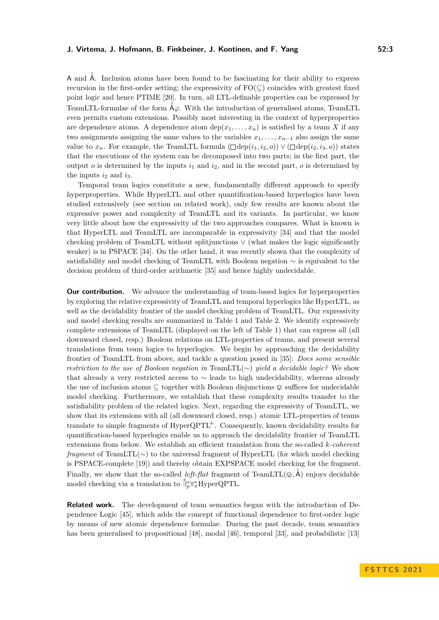A and  $\hat{A}$ . Inclusion atoms have been found to be fascinating for their ability to express recursion in the first-order setting; the expressivity of  $FO(\subseteq)$  coincides with greatest fixed point logic and hence PTIME [\[20\]](#page-14-5). In turn, all LTL-definable properties can be expressed by TeamLTL-formulae of the form  $\stackrel{1}{A}\varphi$ . With the introduction of generalised atoms, TeamLTL even permits custom extensions. Possibly most interesting in the context of hyperproperties are dependence atoms. A dependence atom  $\text{dep}(x_1, \ldots, x_n)$  is satisfied by a team X if any two assignments assigning the same values to the variables  $x_1, \ldots, x_{n-1}$  also assign the same value to  $x_n$ . For example, the TeamLTL formula  $(\Box \text{dep}(i_1, i_2, o)) \vee (\Box \text{dep}(i_2, i_3, o))$  states that the executions of the system can be decomposed into two parts; in the first part, the output  $o$  is determined by the inputs  $i_1$  and  $i_2$ , and in the second part,  $o$  is determined by the inputs  $i_2$  and  $i_3$ .

Temporal team logics constitute a new, fundamentally different approach to specify hyperproperties. While HyperLTL and other quantification-based hyperlogics have been studied extensively (see section on related work), only few results are known about the expressive power and complexity of TeamLTL and its variants. In particular, we know very little about how the expressivity of the two approaches compares. What is known is that HyperLTL and TeamLTL are incomparable in expressivity [\[34\]](#page-15-1) and that the model checking problem of TeamLTL without splitjunctions ∨ (what makes the logic significantly weaker) is in PSPACE [\[34\]](#page-15-1). On the other hand, it was recently shown that the complexity of satisfiability and model checking of TeamLTL with Boolean negation ∼ is equivalent to the decision problem of third-order arithmetic [\[35\]](#page-15-2) and hence highly undecidable.

**Our contribution.** We advance the understanding of team-based logics for hyperproperties by exploring the relative expressivity of TeamLTL and temporal hyperlogics like HyperLTL, as well as the decidability frontier of the model checking problem of TeamLTL. Our expressivity and model checking results are summarized in Table [1](#page-3-0) and Table [2.](#page-3-1) We identify expressively complete extensions of TeamLTL (displayed on the left of Table [1\)](#page-3-0) that can express all (all downward closed, resp.) Boolean relations on LTL-properties of teams, and present several translations from team logics to hyperlogics. We begin by approaching the decidability frontier of TeamLTL from above, and tackle a question posed in [\[35\]](#page-15-2): *Does some sensible restriction to the use of Boolean negation in* TeamLTL(∼) *yield a decidable logic?* We show that already a very restricted access to  $\sim$  leads to high undecidability, whereas already the use of inclusion atoms  $\subseteq$  together with Boolean disjunctions  $\otimes$  suffices for undecidable model checking. Furthermore, we establish that these complexity results transfer to the satisfiability problem of the related logics. Next, regarding the expressivity of TeamLTL, we show that its extensions with all (all downward closed, resp.) atomic LTL-properties of teams translate to simple fragments of  $HyperQPTL<sup>+</sup>$ . Consequently, known decidability results for quantification-based hyperlogics enable us to approach the decidability frontier of TeamLTL extensions from below. We establish an efficient translation from the so-called *k-coherent fragment* of TeamLTL(∼) to the universal fragment of HyperLTL (for which model checking is PSPACE-complete [\[19\]](#page-14-6)) and thereby obtain EXPSPACE model checking for the fragment. Finally, we show that the so-called *left-flat* fragment of TeamLTL( $\varnothing$ ,  $\vec{A}$ ) enjoys decidable model checking via a translation to  $\frac{u}{\alpha} \check{\mathbf{p}} \check{\mathbf{p}} \check{\mathbf{p}} + \mathbf{N}$  HyperQPTL.

**Related work.** The development of team semantics began with the introduction of Dependence Logic [\[45\]](#page-16-5), which adds the concept of functional dependence to first-order logic by means of new atomic dependence formulae. During the past decade, team semantics has been generalised to propositional [\[48\]](#page-16-6), modal [\[46\]](#page-16-7), temporal [\[33\]](#page-15-3), and probabilistic [\[13\]](#page-14-7)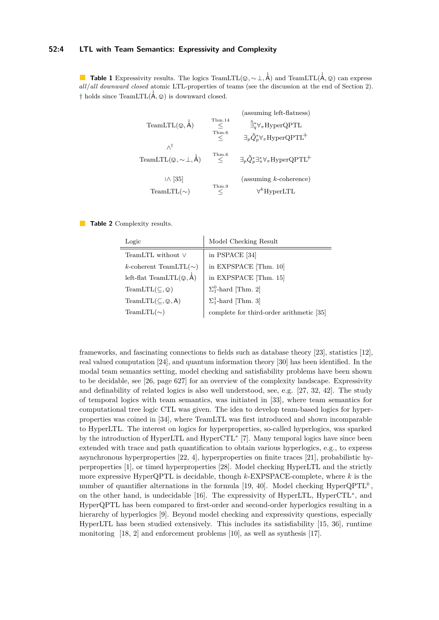## **52:4 LTL with Team Semantics: Expressivity and Complexity**

<span id="page-3-0"></span>**Table 1** Expressivity results. The logics TeamLTL( $\varphi$ ,  $\sim \perp$ ,  $\vec{A}$ ) and TeamLTL( $\vec{A}$ ,  $\varphi$ ) can express *all*/*all downward closed* atomic LTL-properties of teams (see the discussion at the end of Section [2\)](#page-4-0).  $\dagger$  holds since TeamLTL( $\dot{A}$ ,  $\circledcirc$ ) is downward closed.

| TeamLTL $(\mathcal{Q}, \dot{A})$                                  | Thm.14<br>Thm.6<br>$\,<$ | (assuming left-flatness)<br>$\ddot{\exists}_a^* \forall_\pi \text{HyperQPTL}$<br>$\exists_{p} \ddot{Q}_{p}^{*} \forall_{\pi}$ HyperQPTL <sup>+</sup> |
|-------------------------------------------------------------------|--------------------------|------------------------------------------------------------------------------------------------------------------------------------------------------|
| $\wedge^{\dagger}$<br>TeamLTL $(\mathbb{Q}, \sim \perp, \dot{A})$ | Thm.6<br>$\,<\,$         | $\exists p \overset{u}{Q}^*_p \exists^*_\pi \forall_\pi \text{HyperQPTL}^+$                                                                          |
| $\mathsf{IN} [35]$<br>$TeamLTL(\sim)$                             | Thm.9                    | $(assuming k-coherence)$<br>$\forall^k$ HyperLTL                                                                                                     |

<span id="page-3-1"></span>**Table 2** Complexity results.

| Logic                                      | Model Checking Result                    |  |
|--------------------------------------------|------------------------------------------|--|
| TeamLTL without $\vee$                     | in PSPACE [34]                           |  |
| k-coherent TeamLTL( $\sim$ )               | in EXPSPACE [Thm. 10]                    |  |
| left-flat TeamLTL $(\mathcal{Q}, \dot{A})$ | in EXPSPACE [Thm. 15]                    |  |
| TeamLTL $(\subseteq, \otimes)$             | $\Sigma_1^0$ -hard [Thm. 2]              |  |
| $TeamLTL(\subseteq, \otimes, A)$           | $\Sigma_1^1$ -hard [Thm. 3]              |  |
| $TeamLTL(\sim)$                            | complete for third-order arithmetic [35] |  |

frameworks, and fascinating connections to fields such as database theory [\[23\]](#page-15-4), statistics [\[12\]](#page-14-8), real valued computation [\[24\]](#page-15-5), and quantum information theory [\[30\]](#page-15-6) has been identified. In the modal team semantics setting, model checking and satisfiability problems have been shown to be decidable, see [\[26,](#page-15-7) page 627] for an overview of the complexity landscape. Expressivity and definability of related logics is also well understood, see, e.g. [\[27,](#page-15-8) [32,](#page-15-9) [42\]](#page-16-8). The study of temporal logics with team semantics, was initiated in [\[33\]](#page-15-3), where team semantics for computational tree logic CTL was given. The idea to develop team-based logics for hyperproperties was coined in [\[34\]](#page-15-1), where TeamLTL was first introduced and shown incomparable to HyperLTL. The interest on logics for hyperproperties, so-called hyperlogics, was sparked by the introduction of HyperLTL and HyperCTL<sup>∗</sup> [\[7\]](#page-14-3). Many temporal logics have since been extended with trace and path quantification to obtain various hyperlogics, e.g., to express asynchronous hyperproperties [\[22,](#page-15-10) [4\]](#page-13-0), hyperproperties on finite traces [\[21\]](#page-14-9), probabilistic hyperproperties [\[1\]](#page-13-1), or timed hyperproperties [\[28\]](#page-15-11). Model checking HyperLTL and the strictly more expressive HyperQPTL is decidable, though *k*-EXPSPACE-complete, where *k* is the number of quantifier alternations in the formula [\[19,](#page-14-6) [40\]](#page-16-4). Model checking HyperQPTL<sup>+</sup>, on the other hand, is undecidable [\[16\]](#page-14-10). The expressivity of HyperLTL, HyperCTL<sup>\*</sup>, and HyperQPTL has been compared to first-order and second-order hyperlogics resulting in a hierarchy of hyperlogics [\[9\]](#page-14-4). Beyond model checking and expressivity questions, especially HyperLTL has been studied extensively. This includes its satisfiability [\[15,](#page-14-11) [36\]](#page-16-9), runtime monitoring [\[18,](#page-14-12) [2\]](#page-13-2) and enforcement problems [\[10\]](#page-14-13), as well as synthesis [\[17\]](#page-14-2).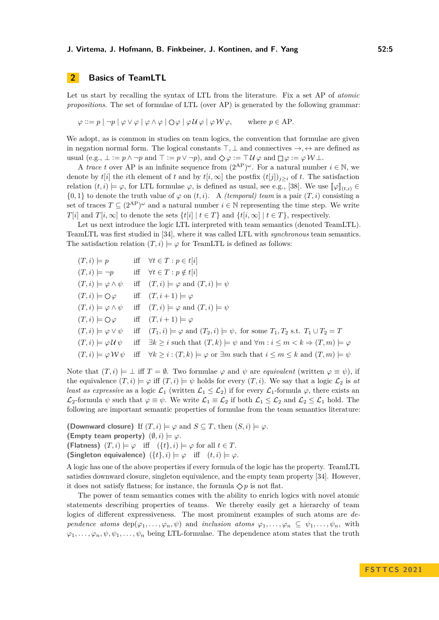# <span id="page-4-0"></span>**2 Basics of TeamLTL**

Let us start by recalling the syntax of LTL from the literature. Fix a set AP of *atomic propositions*. The set of formulae of LTL (over AP) is generated by the following grammar:

$$
\varphi ::= p | \neg p | \varphi \vee \varphi | \varphi \wedge \varphi | \bigcirc \varphi | \varphi \mathcal{U} \varphi | \varphi \mathcal{W} \varphi, \quad \text{where } p \in \mathcal{AP}.
$$

We adopt, as is common in studies on team logics, the convention that formulae are given in negation normal form. The logical constants ⊤*,* ⊥ and connectives →*,* ↔ are defined as usual (e.g.,  $\bot := p \land \neg p$  and  $\top := p \lor \neg p$ ), and  $\Diamond \varphi := \top \mathcal{U} \varphi$  and  $\Box \varphi := \varphi \mathcal{W} \bot$ .

A *trace t* over AP is an infinite sequence from  $(2^{AP})^{\omega}$ . For a natural number  $i \in \mathbb{N}$ , we denote by  $t[i]$  the *i*th element of *t* and by  $t[i,\infty]$  the postfix  $(t[j])_{j>i}$  of *t*. The satisfaction relation  $(t, i) \models \varphi$ , for LTL formulae  $\varphi$ , is defined as usual, see e.g., [\[38\]](#page-16-10). We use  $\llbracket \varphi \rrbracket_{(t,i)} \in$  $\{0,1\}$  to denote the truth value of  $\varphi$  on  $(t, i)$ . A *(temporal) team* is a pair  $(T, i)$  consisting a set of traces  $T \subseteq (2^{AP})^{\omega}$  and a natural number  $i \in \mathbb{N}$  representing the time step. We write *T*[*i*] and *T*[*i*, ∞] to denote the sets  $\{t[i] | t \in T\}$  and  $\{t[i, \infty] | t \in T\}$ , respectively.

Let us next introduce the logic LTL interpreted with team semantics (denoted TeamLTL). TeamLTL was first studied in [\[34\]](#page-15-1), where it was called LTL with *synchronous* team semantics. The satisfaction relation  $(T, i) \models \varphi$  for TeamLTL is defined as follows:

$$
(T, i) \models p \quad \text{iff} \quad \forall t \in T : p \in t[i]
$$
\n
$$
(T, i) \models \neg p \quad \text{iff} \quad \forall t \in T : p \notin t[i]
$$
\n
$$
(T, i) \models \varphi \land \psi \quad \text{iff} \quad (T, i) \models \varphi \text{ and } (T, i) \models \psi
$$
\n
$$
(T, i) \models \bigcirc \varphi \quad \text{iff} \quad (T, i + 1) \models \varphi
$$
\n
$$
(T, i) \models \varphi \land \psi \quad \text{iff} \quad (T, i) \models \varphi \text{ and } (T, i) \models \psi
$$
\n
$$
(T, i) \models \bigcirc \varphi \quad \text{iff} \quad (T, i + 1) \models \varphi
$$
\n
$$
(T, i) \models \varphi \lor \psi \quad \text{iff} \quad (T_1, i) \models \varphi \text{ and } (T_2, i) \models \psi, \text{ for some } T_1, T_2 \text{ s.t. } T_1 \cup T_2 = T
$$
\n
$$
(T, i) \models \varphi \lor \psi \quad \text{iff} \quad \exists k \ge i \text{ such that } (T, k) \models \psi \text{ and } \forall m : i \le m < k \Rightarrow (T, m) \models \varphi
$$
\n
$$
(T, i) \models \varphi \lor \psi \quad \text{iff} \quad \forall k \ge i : (T, k) \models \varphi \text{ or } \exists m \text{ such that } i \le m \le k \text{ and } (T, m) \models \psi
$$

Note that  $(T, i) \models \bot$  iff  $T = \emptyset$ . Two formulae  $\varphi$  and  $\psi$  are *equivalent* (written  $\varphi \equiv \psi$ ), if the equivalence  $(T, i) \models \varphi$  iff  $(T, i) \models \psi$  holds for every  $(T, i)$ . We say that a logic  $\mathcal{L}_2$  is *at least as expressive* as a logic  $\mathcal{L}_1$  (written  $\mathcal{L}_1 \leq \mathcal{L}_2$ ) if for every  $\mathcal{L}_1$ -formula  $\varphi$ , there exists an  $\mathcal{L}_2$ -formula  $\psi$  such that  $\varphi \equiv \psi$ . We write  $\mathcal{L}_1 \equiv \mathcal{L}_2$  if both  $\mathcal{L}_1 \leq \mathcal{L}_2$  and  $\mathcal{L}_2 \leq \mathcal{L}_1$  hold. The following are important semantic properties of formulae from the team semantics literature:

**(Downward closure)** If  $(T, i) \models \varphi$  and  $S \subseteq T$ , then  $(S, i) \models \varphi$ . **(Empty team property)**  $(\emptyset, i) \models \varphi$ . **(Flatness)**  $(T, i) \models \varphi$  iff  $(\{t\}, i) \models \varphi$  for all  $t \in T$ . **(Singleton equivalence)**  $({t}, i) \models \varphi$  iff  $(t, i) \models \varphi$ . A logic has one of the above properties if every formula of the logic has the property. TeamLTL

satisfies downward closure, singleton equivalence, and the empty team property [\[34\]](#page-15-1). However, it does not satisfy flatness; for instance, the formula  $\Diamond p$  is not flat.

The power of team semantics comes with the ability to enrich logics with novel atomic statements describing properties of teams. We thereby easily get a hierarchy of team logics of different expressiveness. The most prominent examples of such atoms are *dependence atoms*  $\text{dep}(\varphi_1, \ldots, \varphi_n, \psi)$  and *inclusion atoms*  $\varphi_1, \ldots, \varphi_n \subseteq \psi_1, \ldots, \psi_n$ , with  $\varphi_1, \ldots, \varphi_n, \psi, \psi_1, \ldots, \psi_n$  being LTL-formulae. The dependence atom states that the truth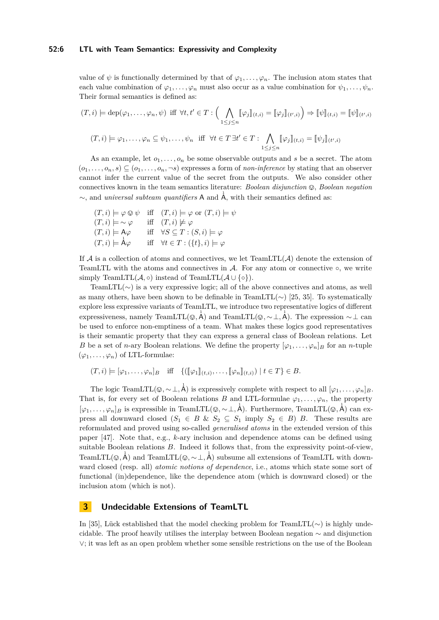#### **52:6 LTL with Team Semantics: Expressivity and Complexity**

value of  $\psi$  is functionally determined by that of  $\varphi_1, \ldots, \varphi_n$ . The inclusion atom states that each value combination of  $\varphi_1, \ldots, \varphi_n$  must also occur as a value combination for  $\psi_1, \ldots, \psi_n$ . Their formal semantics is defined as:

$$
(T,i) \models \text{dep}(\varphi_1,\ldots,\varphi_n,\psi) \text{ iff } \forall t, t' \in T : \Big(\bigwedge_{1 \leq j \leq n} [\![\varphi_j]\!]_{(t,i)} = [\![\varphi_j]\!]_{(t',i)} \Big) \Rightarrow [\![\psi]\!]_{(t,i)} = [\![\psi]\!]_{(t',i)}
$$

$$
(T,i) \models \varphi_1,\ldots,\varphi_n \subseteq \psi_1,\ldots,\psi_n \text{ iff } \forall t \in T \exists t' \in T : \bigwedge_{1 \leq j \leq n} [\![\varphi_j]\!]_{(t,i)} = [\![\psi_j]\!]_{(t',i)}
$$

As an example, let  $o_1, \ldots, o_n$  be some observable outputs and *s* be a secret. The atom  $(o_1, \ldots, o_n, s) \subseteq (o_1, \ldots, o_n, \neg s)$  expresses a form of *non-inference* by stating that an observer cannot infer the current value of the secret from the outputs. We also consider other connectives known in the team semantics literature: *Boolean disjunction*  $\mathcal{Q}$ , *Boolean negation* ∼, and *universal subteam quantifiers* A and 1 A, with their semantics defined as:

$$
(T,i) \models \varphi \otimes \psi \quad \text{iff} \quad (T,i) \models \varphi \text{ or } (T,i) \models \psi
$$
  
\n
$$
(T,i) \models \sim \varphi \quad \text{iff} \quad (T,i) \not\models \varphi
$$
  
\n
$$
(T,i) \models A\varphi \quad \text{iff} \quad \forall S \subseteq T : (S,i) \models \varphi
$$
  
\n
$$
(T,i) \models \dot{A}\varphi \quad \text{iff} \quad \forall t \in T : (\{t\}, i) \models \varphi
$$

If  $A$  is a collection of atoms and connectives, we let  $\text{TeamLTL}(A)$  denote the extension of TeamLTL with the atoms and connectives in  $A$ . For any atom or connective  $\circ$ , we write simply TeamLTL( $\mathcal{A}, \circ$ ) instead of TeamLTL( $\mathcal{A} \cup \{ \circ \}$ ).

TeamLTL( $\sim$ ) is a very expressive logic; all of the above connectives and atoms, as well as many others, have been shown to be definable in TeamLTL( $\sim$ ) [\[25,](#page-15-12) [35\]](#page-15-2). To systematically explore less expressive variants of TeamLTL, we introduce two representative logics of different expressiveness, namely TeamLTL( $\varphi$ ,  $\overset{\perp}{A}$ ) and TeamLTL( $\varphi$ ,  $\sim \perp$ ,  $\overset{\perp}{A}$ ). The expression  $\sim \perp$  can be used to enforce non-emptiness of a team. What makes these logics good representatives is their semantic property that they can express a general class of Boolean relations. Let *B* be a set of *n*-ary Boolean relations. We define the property  $[\varphi_1, \ldots, \varphi_n]_B$  for an *n*-tuple  $(\varphi_1, \ldots, \varphi_n)$  of LTL-formulae:

 $(T, i) \models [\varphi_1, \ldots, \varphi_n]_B$  iff  $\{([\varphi_1] \rvert_{(t,i)}, \ldots, [\varphi_n] \rvert_{(t,i)}) \mid t \in T\} \in B.$ 

The logic TeamLTL( $\varphi, \sim \bot, \overrightarrow{A}$ ) is expressively complete with respect to all  $[\varphi_1, \ldots, \varphi_n]_B$ . That is, for every set of Boolean relations *B* and LTL-formulae  $\varphi_1, \ldots, \varphi_n$ , the property  $[\varphi_1, \ldots, \varphi_n]_B$  is expressible in TeamLTL( $\varphi, \sim \bot, \overrightarrow{A}$ ). Furthermore, TeamLTL( $\varphi, \overrightarrow{A}$ ) can ex-<br>  $\varphi$  and  $\varphi$  and  $\varphi$  and  $\varphi$  and  $\varphi$  and  $\varphi$  and  $\varphi$  and  $\varphi$  and  $\varphi$  and  $\varphi$  and  $\varphi$  and press all downward closed  $(S_1 \in B \& S_2 \subseteq S_1$  imply  $S_2 \in B$ ) *B*. These results are reformulated and proved using so-called *generalised atoms* in the extended version of this paper [\[47\]](#page-16-11). Note that, e.g., *k*-ary inclusion and dependence atoms can be defined using suitable Boolean relations *B*. Indeed it follows that, from the expressivity point-of-view, TeamLTL( $\varphi, \dot{A}$ ) and TeamLTL( $\varphi, \sim \perp, \dot{A}$ ) subsume all extensions of TeamLTL with down-<br>were also all extensions of the subsequence of the subsequence of the subsequence of the subsequence of the ward closed (resp. all) *atomic notions of dependence*, i.e., atoms which state some sort of functional (in)dependence, like the dependence atom (which is downward closed) or the inclusion atom (which is not).

## **3 Undecidable Extensions of TeamLTL**

In [\[35\]](#page-15-2), Lück established that the model checking problem for TeamLTL( $\sim$ ) is highly undecidable. The proof heavily utilises the interplay between Boolean negation ∼ and disjunction ∨; it was left as an open problem whether some sensible restrictions on the use of the Boolean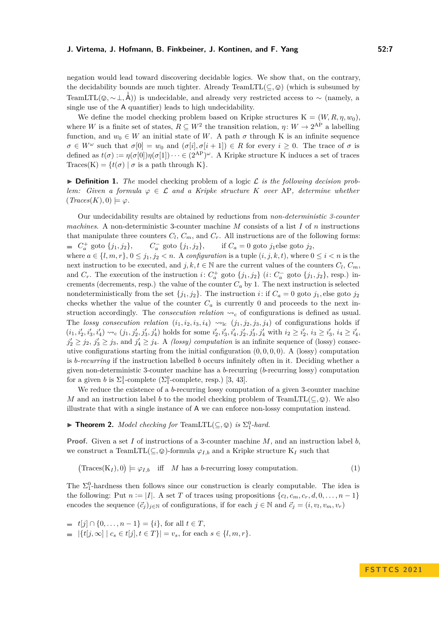negation would lead toward discovering decidable logics. We show that, on the contrary, the decidability bounds are much tighter. Already TeamLTL( $\subseteq$ ,  $\otimes$ ) (which is subsumed by TeamLTL( $\varphi, \sim \perp, \vec{A}$ )) is undecidable, and already very restricted access to  $\sim$  (namely, a single use of the  $\Lambda$  suspection) leads to bigh undecidentiity. single use of the A quantifier) leads to high undecidability.

We define the model checking problem based on Kripke structures  $K = (W, R, \eta, w_0)$ . where *W* is a finite set of states,  $R \subseteq W^2$  the transition relation,  $\eta: W \to 2^{\text{AP}}$  a labelling function, and  $w_0 \in W$  an initial state of W. A path  $\sigma$  through K is an infinite sequence  $\sigma \in W^{\omega}$  such that  $\sigma[0] = w_0$  and  $(\sigma[i], \sigma[i+1]) \in R$  for every  $i \geq 0$ . The trace of  $\sigma$  is defined as  $t(\sigma) := \eta(\sigma[0])\eta(\sigma[1])\cdots \in (2^{AP})^{\omega}$ . A Kripke structure K induces a set of traces Traces(K) =  $\{t(\sigma) | \sigma$  is a path through K}.

▶ **Definition 1.** The model checking problem of a logic L is the following decision prob*lem:* Given a formula  $\varphi \in \mathcal{L}$  and a Kripke structure K over AP, determine whether  $(Traces(K), 0) \models \varphi$ .

Our undecidability results are obtained by reductions from *non-deterministic 3-counter machines*. A non-deterministic 3-counter machine *M* consists of a list *I* of *n* instructions that manipulate three counters  $C_l$ ,  $C_m$ , and  $C_r$ . All instructions are of the following forms:  $C_a^+$  goto  $\{j_1, j_2\}$ , *C*  $C_a^-$  goto  $\{j_1, j_2\},\$ if  $C_a = 0$  goto *j*<sub>1</sub>else goto *j*<sub>2</sub>, where  $a \in \{l, m, r\}$ ,  $0 \leq j_1, j_2 < n$ . A *configuration* is a tuple  $(i, j, k, t)$ , where  $0 \leq i < n$  is the next instruction to be executed, and  $j, k, t \in \mathbb{N}$  are the current values of the counters  $C_l, C_m$ , and  $C_r$ . The execution of the instruction  $i: C_a^+$  goto  $\{j_1, j_2\}$   $(i: C_a^-$  goto  $\{j_1, j_2\}$ , resp.) increments (decrements, resp.) the value of the counter  $C_a$  by 1. The next instruction is selected nondeterministically from the set  $\{j_1, j_2\}$ . The instruction *i*: if  $C_a = 0$  goto  $j_1$ , else goto  $j_2$ checks whether the value of the counter  $C_a$  is currently 0 and proceeds to the next instruction accordingly. The *consecution relation*  $\sim_c$  of configurations is defined as usual. The *lossy consecution relation*  $(i_1, i_2, i_3, i_4) \rightarrow_{\text{lc}} (j_1, j_2, j_3, j_4)$  of configurations holds if  $(i_1, i'_2, i'_3, i'_4) \rightsquigarrow_c (j_1, j'_2, j'_3, j'_4)$  holds for some  $i'_2, i'_3, i'_4, j'_2, j'_3, j'_4$  with  $i_2 \geq i'_2$ ,  $i_3 \geq i'_3$ ,  $i_4 \geq i'_4$ ,  $j'_2 \geq j_2$ ,  $j'_3 \geq j_3$ , and  $j'_4 \geq j_4$ . A *(lossy) computation* is an infinite sequence of (lossy) consecutive configurations starting from the initial configuration  $(0, 0, 0, 0)$ . A (lossy) computation is *b-recurring* if the instruction labelled *b* occurs infinitely often in it. Deciding whether a given non-deterministic 3-counter machine has a *b*-recurring (*b*-recurring lossy) computation for a given *b* is  $\Sigma_1^1$ -complete ( $\Sigma_1^0$ -complete, resp.) [\[3,](#page-13-3) [43\]](#page-16-12).

We reduce the existence of a *b*-recurring lossy computation of a given 3-counter machine *M* and an instruction label *b* to the model checking problem of TeamLTL( $\subseteq$ ,  $\otimes$ ). We also illustrate that with a single instance of A we can enforce non-lossy computation instead.

<span id="page-6-0"></span>▶ **Theorem 2.** *Model checking for* TeamLTL( $\subseteq$ ,  $\otimes$ ) *is*  $\Sigma_1^0$ -*hard.* 

**Proof.** Given a set *I* of instructions of a 3-counter machine *M*, and an instruction label *b*, we construct a TeamLTL( $\subseteq$ ,  $\otimes$ )-formula  $\varphi_{I,b}$  and a Kripke structure K<sub>*I*</sub> such that

<span id="page-6-1"></span>
$$
(\text{Trace}(K_I), 0) \models \varphi_{I,b} \quad \text{iff} \quad M \text{ has a } b \text{-recuring lossy computation.} \tag{1}
$$

The  $\Sigma_1^0$ -hardness then follows since our construction is clearly computable. The idea is the following: Put  $n := |I|$ . A set *T* of traces using propositions  $\{c_l, c_m, c_r, d, 0, \ldots, n-1\}$ encodes the sequence  $(\vec{c}_j)_{j \in \mathbb{N}}$  of configurations, if for each  $j \in \mathbb{N}$  and  $\vec{c}_j = (i, v_l, v_m, v_r)$ 

 $\bullet$  *t*[*j*] ∩ {0, . . . , *n* − 1} = {*i*}, for all *t* ∈ *T*,  $= |\{t[j,\infty] \mid c_s \in t[j], t \in T\}| = v_s$ , for each  $s \in \{l,m,r\}.$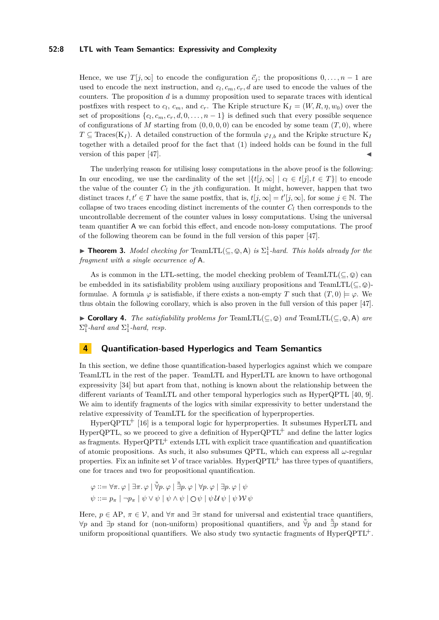#### **52:8 LTL with Team Semantics: Expressivity and Complexity**

Hence, we use  $T[j,\infty]$  to encode the configuration  $\vec{c}_i$ ; the propositions  $0,\ldots,n-1$  are used to encode the next instruction, and  $c_l, c_m, c_r, d$  are used to encode the values of the counters. The proposition *d* is a dummy proposition used to separate traces with identical postfixes with respect to  $c_l$ ,  $c_m$ , and  $c_r$ . The Kriple structure  $K_I = (W, R, \eta, w_0)$  over the set of propositions  $\{c_l, c_m, c_r, d, 0, \ldots, n-1\}$  is defined such that every possible sequence of configurations of *M* starting from  $(0, 0, 0, 0)$  can be encoded by some team  $(T, 0)$ , where  $T \subseteq \text{Traces}(K_I)$ . A detailed construction of the formula  $\varphi_{I,b}$  and the Kripke structure  $K_I$ together with a detailed proof for the fact that [\(1\)](#page-6-1) indeed holds can be found in the full version of this paper  $[47]$ .

The underlying reason for utilising lossy computations in the above proof is the following: In our encoding, we use the cardinality of the set  $|\{t[j,\infty] \mid c_l \in t[j], t \in T\}|$  to encode the value of the counter  $C_l$  in the *j*th configuration. It might, however, happen that two distinct traces  $t, t' \in T$  have the same postfix, that is,  $t[j, \infty] = t'[j, \infty]$ , for some  $j \in \mathbb{N}$ . The collapse of two traces encoding distinct increments of the counter  $C_l$  then corresponds to the uncontrollable decrement of the counter values in lossy computations. Using the universal team quantifier A we can forbid this effect, and encode non-lossy computations. The proof of the following theorem can be found in the full version of this paper [\[47\]](#page-16-11).

<span id="page-7-0"></span>**► Theorem 3.** *Model checking for*  $\text{TeamLTL}(\subseteq, \mathcal{Q}, \mathsf{A})$  *is*  $\Sigma_1^1$ -*hard. This holds already for the fragment with a single occurrence of* A*.*

As is common in the LTL-setting, the model checking problem of TeamLTL( $\subseteq$ ,  $\otimes$ ) can be embedded in its satisfiability problem using auxiliary propositions and TeamLTL( $\subseteq$ ,  $\otimes$ )formulae. A formula  $\varphi$  is satisfiable, if there exists a non-empty *T* such that  $(T, 0) \models \varphi$ . We thus obtain the following corollary, which is also proven in the full version of this paper [\[47\]](#page-16-11).

<span id="page-7-1"></span>▶ **Corollary 4.** *The satisfiability problems for* TeamLTL(⊆*,* <sup>6</sup>) *and* TeamLTL(⊆*,* <sup>6</sup>*,*A) *are*  $\Sigma_1^0$ -hard and  $\Sigma_1^1$ -hard, resp.

## **4 Quantification-based Hyperlogics and Team Semantics**

In this section, we define those quantification-based hyperlogics against which we compare TeamLTL in the rest of the paper. TeamLTL and HyperLTL are known to have orthogonal expressivity [\[34\]](#page-15-1) but apart from that, nothing is known about the relationship between the different variants of TeamLTL and other temporal hyperlogics such as HyperQPTL [\[40,](#page-16-4) [9\]](#page-14-4). We aim to identify fragments of the logics with similar expressivity to better understand the relative expressivity of TeamLTL for the specification of hyperproperties.

 $HyperQPTL^+$  [\[16\]](#page-14-10) is a temporal logic for hyperproperties. It subsumes HyperLTL and HyperQPTL, so we proceed to give a definition of  $HyperQPTL^+$  and define the latter logics as fragments. Hyper $\text{QPTL}^+$  extends LTL with explicit trace quantification and quantification of atomic propositions. As such, it also subsumes QPTL, which can express all *ω*-regular properties. Fix an infinite set  $V$  of trace variables. HyperQPTL<sup>+</sup> has three types of quantifiers, one for traces and two for propositional quantification.

$$
\varphi ::= \forall \pi. \varphi \mid \exists \pi. \varphi \mid \forall p. \varphi \mid \exists p. \varphi \mid \forall p. \varphi \mid \exists p. \varphi \mid \psi
$$
  

$$
\psi ::= p_{\pi} \mid \neg p_{\pi} \mid \psi \lor \psi \mid \psi \land \psi \mid \bigcirc \psi \mid \psi \mathcal{U} \psi \mid \psi \mathcal{W} \psi
$$

*u*

Here,  $p \in AP$ ,  $\pi \in V$ , and  $\forall \pi$  and  $\exists \pi$  stand for universal and existential trace quantifiers, ∀*p* and ∃*p* stand for (non-uniform) propositional quantifiers, and *u* ∀*p* and *u* ∃*p* stand for uniform propositional quantifiers. We also study two syntactic fragments of  $HyperQPTL<sup>+</sup>$ .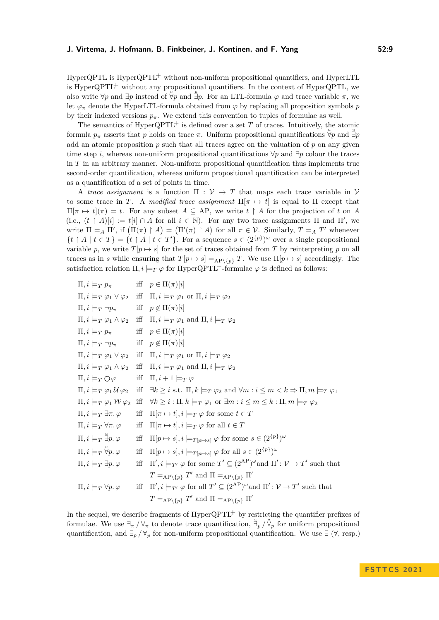HyperQPTL is HyperQPTL+ without non-uniform propositional quantifiers, and HyperLTL is HyperQPTL<sup> $+$ </sup> without any propositional quantifiers. In the context of HyperQPTL, we also write  $\forall p$  and  $\exists p$  instead of  $\forall p$  and  $\exists p$ . For an LTL-formula  $\varphi$  and trace variable  $\pi$ , we let  $\varphi_{\pi}$  denote the HyperLTL-formula obtained from  $\varphi$  by replacing all proposition symbols *p* by their indexed versions  $p_{\pi}$ . We extend this convention to tuples of formulae as well.

The semantics of  $HyperQPTL^+$  is defined over a set *T* of traces. Intuitively, the atomic formula  $p_{\pi}$  asserts that *p* holds on trace  $\pi$ . Uniform propositional quantifications  $\forall p$  and  $\exists p$ add an atomic proposition  $p$  such that all traces agree on the valuation of  $p$  on any given time step *i*, whereas non-uniform propositional quantifications ∀*p* and ∃*p* colour the traces in *T* in an arbitrary manner. Non-uniform propositional quantification thus implements true second-order quantification, whereas uniform propositional quantification can be interpreted as a quantification of a set of points in time.

A *trace assignment* is a function  $\Pi : \mathcal{V} \to T$  that maps each trace variable in  $\mathcal{V}$ to some trace in *T*. A *modified trace assignment*  $\Pi[\pi \mapsto t]$  is equal to  $\Pi$  except that  $\Pi[\pi \mapsto t](\pi) = t$ . For any subset  $A \subseteq \mathbb{A}\mathbb{P}$ , we write  $t \upharpoonright A$  for the projection of  $t$  on  $A$ (i.e.,  $(t \restriction A)[i] := t[i] \cap A$  for all  $i \in \mathbb{N}$ ). For any two trace assignments  $\Pi$  and  $\Pi'$ , we write  $\Pi = A \Pi'$ , if  $(\Pi(\pi) \restriction A) = (\Pi'(\pi) \restriction A)$  for all  $\pi \in \mathcal{V}$ . Similarly,  $T = A T'$  whenever  $\{t \restriction A \mid t \in T\} = \{t \restriction A \mid t \in T'\}.$  For a sequence  $s \in (2^{\{p\}})^\omega$  over a single propositional variable p, we write  $T[p \mapsto s]$  for the set of traces obtained from T by reinterpreting p on all traces as in *s* while ensuring that  $T[p \mapsto s] =_{AP \setminus \{p\}} T$ . We use  $\Pi[p \mapsto s]$  accordingly. The satisfaction relation  $\Pi, i \models_T \varphi$  for  $HyperQPTL^+$ -formulae  $\varphi$  is defined as follows:

 $\Pi, i \models_T p_\pi$  iff  $p \in \Pi(\pi)[i]$  $\Pi, i \models_T \varphi_1 \lor \varphi_2$  iff  $\Pi, i \models_T \varphi_1$  or  $\Pi, i \models_T \varphi_2$  $\Pi, i \models_T \neg p_\pi$  iff  $p \notin \Pi(\pi)[i]$  $\Pi, i \models_T \varphi_1 \land \varphi_2$  iff  $\Pi, i \models_T \varphi_1$  and  $\Pi, i \models_T \varphi_2$  $\Pi, i \models_T p_\pi$  iff  $p \in \Pi(\pi)[i]$  $\Pi, i \models_T \neg p_\pi$  iff  $p \notin \Pi(\pi)[i]$  $\Pi, i \models_T \varphi_1 \vee \varphi_2$  iff  $\Pi, i \models_T \varphi_1$  or  $\Pi, i \models_T \varphi_2$  $\Pi, i \models_T \varphi_1 \land \varphi_2$  iff  $\Pi, i \models_T \varphi_1$  and  $\Pi, i \models_T \varphi_2$  $\Pi, i \models_T \bigcirc \varphi$  iff  $\Pi, i+1 \models_T \varphi$  $\Pi, i \models_T \varphi_1 \mathcal{U} \varphi_2$  iff  $\exists k \geq i \text{ s.t. } \Pi, k \models_T \varphi_2 \text{ and } \forall m : i \leq m < k \Rightarrow \Pi, m \models_T \varphi_1$  $\Pi, i \models_T \varphi_1 \mathcal{W} \varphi_2$  iff  $\forall k \geq i : \Pi, k \models_T \varphi_1 \text{ or } \exists m : i \leq m \leq k : \Pi, m \models_T \varphi_2$  $\Pi, i \models_T \exists \pi \ldotp \varphi$  iff  $\Pi[\pi \mapsto t], i \models_T \varphi$  for some  $t \in T$  $\Pi, i \models_T \forall \pi, \varphi$  iff  $\Pi[\pi \mapsto t], i \models_T \varphi$  for all  $t \in T$  $\Pi, i \models_T \mathbb{I}$  $\exists p. \varphi$  iff  $\Pi[p \mapsto s], i \models_{T[p \mapsto s]} \varphi$  for some  $s \in (2^{\{p\}})^{\omega}$  $\Pi, i \models_T \overset{u}{\forall}$  $\forall p. \varphi$  iff  $\Pi[p \mapsto s], i \models_{T[p \mapsto s]} \varphi$  for all  $s \in (2^{\{p\}})^{\omega}$  $\Pi, i \models_T \exists p. \varphi$  $\mathcal{I}', i \models_{T'} \varphi$  for some  $T' \subseteq (2^{\text{AP}})^{\omega}$  and  $\Pi': \mathcal{V} \to T'$  such that  $T =_{AP \setminus \{p\}} T'$  and  $\Pi =_{AP \setminus \{p\}} \Pi'$  $\Pi, i \models_T \forall p. \varphi$  $T', i \models_{T'} \varphi$  for all  $T' \subseteq (2^{\text{AP}})^{\omega}$  and  $\Pi' : \mathcal{V} \to T'$  such that  $T =_{AP \setminus \{p\}} T'$  and  $\Pi =_{AP \setminus \{p\}} \Pi'$ 

In the sequel, we describe fragments of  $HyperQPTL^+$  by restricting the quantifier prefixes of formulae. We use  $\exists_{\pi}/\forall_{\pi}$  to denote trace quantification,  $\frac{u}{\Box p}/\sqrt{\frac{v}{\gamma}}$  for uniform propositional quantification, and  $\exists_p / \forall_p$  for non-uniform propositional quantification. We use  $\exists$  ( $\forall$ , resp.)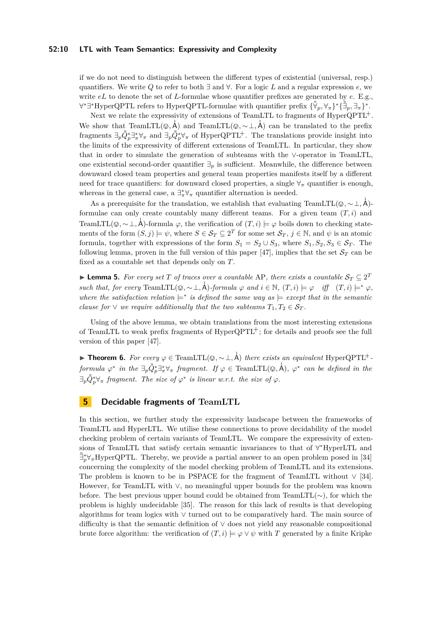#### **52:10 LTL with Team Semantics: Expressivity and Complexity**

if we do not need to distinguish between the different types of existential (universal, resp.) quantifiers. We write *Q* to refer to both ∃ and ∀. For a logic *L* and a regular expression *e*, we write *eL* to denote the set of *L*-formulae whose quantifier prefixes are generated by *e*. E.g.,  $\forall^* \exists^* \text{HyperQPTL refers to HyperQPTL-formulae with quantifier prefix  $\{\overset{u}{\forall}_p, \forall_\pi\}^* \{\overset{u}{\exists}_p, \exists_\pi\}^*$ .$ 

Next we relate the expressivity of extensions of TeamLTL to fragments of HyperQPTL<sup>+</sup>. We show that TeamLTL( $\varphi$ ,  $\overrightarrow{A}$ ) and TeamLTL( $\varphi$ ,  $\sim \perp$ ,  $\overrightarrow{A}$ ) can be translated to the prefix<br>frogments  $\overrightarrow{A}$ ,  $\overrightarrow{A}$ ,  $\overrightarrow{A}$ , and  $\overrightarrow{A}$ ,  $\overrightarrow{A}$ ,  $\overrightarrow{A}$ ,  $\overrightarrow{A}$ ,  $\overrightarrow{A}$ ,  $\overrightarrow{A}$ ,  $\overrightarrow{A}$ , fragments  $\exists_p \tilde{Q}_p^* \exists_\pi^* \forall_\pi$  and  $\exists_p \tilde{Q}_p^* \forall_\pi$  of HyperQPTL<sup>+</sup>. The translations provide insight into the limits of the expressivity of different extensions of TeamLTL. In particular, they show that in order to simulate the generation of subteams with the ∨-operator in TeamLTL, one existential second-order quantifier ∃*<sup>p</sup>* is sufficient. Meanwhile, the difference between downward closed team properties and general team properties manifests itself by a different need for trace quantifiers: for downward closed properties, a single ∀*<sup>π</sup>* quantifier is enough, whereas in the general case, a  $\exists_{\pi}^* \forall_{\pi}$  quantifier alternation is needed.

As a prerequisite for the translation, we establish that evaluating TeamLTL( $(\emptyset, \sim \perp, \stackrel{1}{A})$ formulae can only create countably many different teams. For a given team  $(T, i)$  and TeamLTL( $\varphi, \sim \perp, \mathring{A}$ )-formula  $\varphi$ , the verification of  $(T, i) \models \varphi$  boils down to checking state-<br>ments of the form  $(S, i) \models \psi$  where  $S \subseteq S \subseteq T$  for some set  $S \subseteq i \subseteq \mathbb{N}$  and this an atomic ments of the form  $(S, j) \models \psi$ , where  $S \in \mathcal{S}_T \subseteq 2^T$  for some set  $\mathcal{S}_T$ ,  $j \in \mathbb{N}$ , and  $\psi$  is an atomic formula, together with expressions of the form  $S_1 = S_2 \cup S_3$ , where  $S_1, S_2, S_3 \in S_T$ . The following lemma, proven in the full version of this paper  $[47]$ , implies that the set  $S_T$  can be fixed as a countable set that depends only on *T*.

▶ **Lemma 5.** For every set T of traces over a countable AP, there exists a countable  $S_T \subseteq 2^T$ *such that, for every* TeamLTL $(\mathcal{Q}, \sim \bot, \mathring{A})$ *-formula*  $\varphi$  *and*  $i \in \mathbb{N}$ ,  $(T, i) \models \varphi$  *iff*  $(T, i) \models^* \varphi$ , *where the satisfaction relation*  $\models$ <sup>\*</sup> *is defined the same way as*  $\models$  *except that in the semantic clause for*  $\vee$  *we require additionally that the two subteams*  $T_1, T_2 \in S_T$ .

Using of the above lemma, we obtain translations from the most interesting extensions of TeamLTL to weak prefix fragments of HyperQPTL+; for details and proofs see the full version of this paper [\[47\]](#page-16-11).

<span id="page-9-0"></span>**► Theorem 6.** For every  $\varphi \in \text{TeamLTL}(\mathbb{Q}, \sim \perp, \stackrel{1}{A})$  there exists an equivalent HyperQPTL<sup>+</sup>*formula*  $\varphi^*$  *in the*  $\exists_p \ddot{Q}_p^* \exists_\pi^* \forall_\pi$  *fragment.* If  $\varphi \in \text{TeamLTL}(\mathcal{Q}, \dot{A})$ *,*  $\varphi^*$  *can be defined in the*  $\exists p \overset{\circ}{Q}_p^* \forall_\pi$  fragment. The size of  $\varphi^*$  is linear w.r.t. the size of  $\varphi$ .

# **5 Decidable fragments of TeamLTL**

In this section, we further study the expressivity landscape between the frameworks of TeamLTL and HyperLTL. We utilise these connections to prove decidability of the model checking problem of certain variants of TeamLTL. We compare the expressivity of extensions of TeamLTL that satisfy certain semantic invariances to that of ∀ <sup>∗</sup>HyperLTL and  $\exists_p^* \forall_\pi H y \text{per QPTL}$ . Thereby, we provide a partial answer to an open problem posed in [\[34\]](#page-15-1) concerning the complexity of the model checking problem of TeamLTL and its extensions. The problem is known to be in PSPACE for the fragment of TeamLTL without  $\vee$  [\[34\]](#page-15-1). However, for TeamLTL with ∨, no meaningful upper bounds for the problem was known before. The best previous upper bound could be obtained from TeamLTL(∼), for which the problem is highly undecidable [\[35\]](#page-15-2). The reason for this lack of results is that developing algorithms for team logics with ∨ turned out to be comparatively hard. The main source of difficulty is that the semantic definition of ∨ does not yield any reasonable compositional brute force algorithm: the verification of  $(T, i) \models \varphi \lor \psi$  with *T* generated by a finite Kripke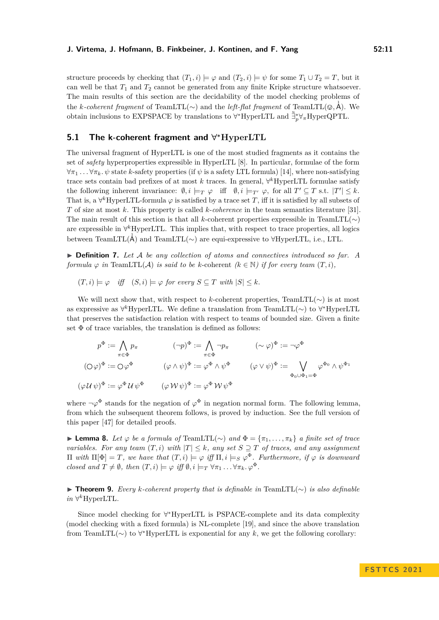structure proceeds by checking that  $(T_1, i) \models \varphi$  and  $(T_2, i) \models \psi$  for some  $T_1 \cup T_2 = T$ , but it can well be that  $T_1$  and  $T_2$  cannot be generated from any finite Kripke structure whatsoever. The main results of this section are the decidability of the model checking problems of the *k*-coherent fragment of TeamLTL(∼) and the *left-flat fragment* of TeamLTL( $\mathbb{Q}, \mathring{A}$ ). We<br>abtain inclusions to EXDSDACE by translations to  $\forall$ \*Urner<sup>T</sup>TL and <sup>"\*</sup><sup>\*</sup> UrnerOPTL" obtain inclusions to EXPSPACE by translations to  $\forall^*$ HyperLTL and  $\exists_p^* \forall_\pi$ HyperQPTL.

# **5.1 The k-coherent fragment and ∀ <sup>∗</sup>HyperLTL**

The universal fragment of HyperLTL is one of the most studied fragments as it contains the set of *safety* hyperproperties expressible in HyperLTL [\[8\]](#page-14-14). In particular, formulae of the form  $\forall \pi_1 \dots \forall \pi_k \dots \psi$  state *k*-safety properties (if  $\psi$  is a safety LTL formula) [\[14\]](#page-14-15), where non-satisfying trace sets contain bad prefixes of at most *k* traces. In general, ∀ *<sup>k</sup>*HyperLTL formulae satisfy the following inherent invariance:  $\emptyset, i \models_T \varphi \text{ iff } \emptyset, i \models_{T'} \varphi, \text{ for all } T' \subseteq T \text{ s.t. } |T'| \leq k.$ That is, a  $\forall^k$ HyperLTL-formula  $\varphi$  is satisfied by a trace set *T*, iff it is satisfied by all subsets of *T* of size at most *k*. This property is called *k*-*coherence* in the team semantics literature [\[31\]](#page-15-13). The main result of this section is that all *k*-coherent properties expressible in TeamLTL( $\sim$ ) are expressible in ∀ *<sup>k</sup>*HyperLTL. This implies that, with respect to trace properties, all logics between TeamLTL( $\hat{A}$ ) and TeamLTL( $\sim$ ) are equi-expressive to ∀HyperLTL, i.e., LTL.

▶ **Definition 7.** *Let* A *be any collection of atoms and connectives introduced so far. A formula*  $\varphi$  *in* TeamLTL( $\mathcal{A}$ ) *is said to be k*-coherent  $(k \in \mathbb{N})$  *if for every team*  $(T, i)$ *,* 

 $(T, i) \models \varphi$  *iff*  $(S, i) \models \varphi$  *for every*  $S \subseteq T$  *with*  $|S| \leq k$ .

We will next show that, with respect to *k*-coherent properties, TeamLTL(∼) is at most as expressive as ∀<sup>k</sup>HyperLTL. We define a translation from TeamLTL(~) to ∀\*HyperLTL that preserves the satisfaction relation with respect to teams of bounded size. Given a finite set  $\Phi$  of trace variables, the translation is defined as follows:

$$
p^{\Phi} := \bigwedge_{\pi \in \Phi} p_{\pi} \qquad \qquad (-p)^{\Phi} := \bigwedge_{\pi \in \Phi} \neg p_{\pi} \qquad \qquad (\sim \varphi)^{\Phi} := \neg \varphi^{\Phi}
$$
  

$$
(\bigcirc \varphi)^{\Phi} := \bigcirc \varphi^{\Phi} \qquad \qquad (\varphi \wedge \psi)^{\Phi} := \varphi^{\Phi} \wedge \psi^{\Phi} \qquad \qquad (\varphi \vee \psi)^{\Phi} := \bigvee_{\Phi_0 \cup \Phi_1 = \Phi} \varphi^{\Phi_0} \wedge \psi^{\Phi_1}
$$
  

$$
(\varphi \mathcal{U} \psi)^{\Phi} := \varphi^{\Phi} \mathcal{U} \psi^{\Phi} \qquad \qquad (\varphi \mathcal{W} \psi)^{\Phi} := \varphi^{\Phi} \mathcal{W} \psi^{\Phi}
$$

where  $\neg \varphi^{\Phi}$  stands for the negation of  $\varphi^{\Phi}$  in negation normal form. The following lemma, from which the subsequent theorem follows, is proved by induction. See the full version of this paper [\[47\]](#page-16-11) for detailed proofs.

▶ **Lemma 8.** *Let φ be a formula of* TeamLTL(∼) *and* Φ = {*π*1*, . . . , πk*} *a finite set of trace variables. For any team*  $(T, i)$  *with*  $|T| \leq k$ *, any set*  $S \supseteq T$  *of traces, and any assignment*  $\Pi$  *with*  $\Pi[\Phi] = T$ *, we have that*  $(T, i) \models \varphi$  *iff*  $\Pi, i \models_S \varphi^{\Phi}$ *. Furthermore, if*  $\varphi$  *is downward closed and*  $T \neq \emptyset$ *, then*  $(T, i) \models \varphi$  *iff*  $\emptyset$ *, i*  $\models_T \forall \pi_1 \dots \forall \pi_k \varphi^{\Phi}$ *.* 

<span id="page-10-0"></span>▶ **Theorem 9.** *Every k-coherent property that is definable in* TeamLTL(∼) *is also definable in* ∀ *<sup>k</sup>*HyperLTL*.*

<span id="page-10-1"></span>Since model checking for ∀\*HyperLTL is PSPACE-complete and its data complexity (model checking with a fixed formula) is NL-complete [\[19\]](#page-14-6), and since the above translation from TeamLTL(∼) to ∀ <sup>∗</sup>HyperLTL is exponential for any *k*, we get the following corollary: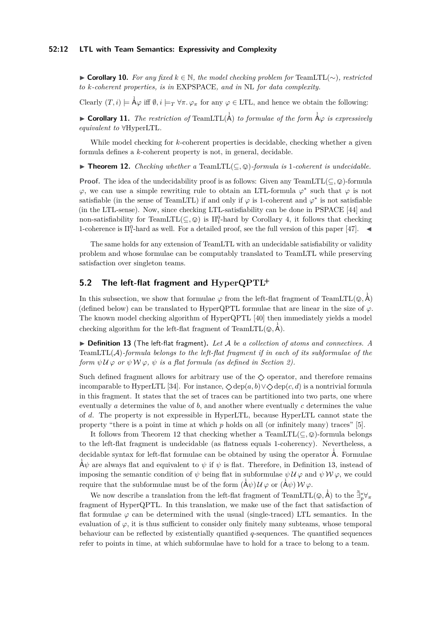#### **52:12 LTL with Team Semantics: Expressivity and Complexity**

▶ **Corollary 10.** *For any fixed k* ∈ N*, the model checking problem for* TeamLTL(∼)*, restricted to k-coherent properties, is in* EXPSPACE*, and in* NL *for data complexity.*

Clearly  $(T, i) \models \mathring{A}\varphi$  iff  $\emptyset, i \models_T \forall \pi \ldotp \varphi_\pi$  for any  $\varphi \in \mathop{\rm LTL}\nolimits$ , and hence we obtain the following:

**Corollary 11.** The restriction of TeamLTL( $\hat{A}$ ) to formulae of the form  $\hat{A}\varphi$  is expressively *equivalent to* ∀HyperLTL*.*

While model checking for *k*-coherent properties is decidable, checking whether a given formula defines a *k*-coherent property is not, in general, decidable.

<span id="page-11-0"></span>▶ **Theorem 12.** *Checking whether a* TeamLTL(⊆*,* <sup>6</sup>)*-formula is* <sup>1</sup>*-coherent is undecidable.*

**Proof.** The idea of the undecidability proof is as follows: Given any TeamLTL( $\subseteq$ ,  $\otimes$ )-formula *φ*, we can use a simple rewriting rule to obtain an LTL-formula  $\varphi^*$  such that  $\varphi$  is not satisfiable (in the sense of TeamLTL) if and only if  $\varphi$  is 1-coherent and  $\varphi^*$  is not satisfiable (in the LTL-sense). Now, since checking LTL-satisfiability can be done in PSPACE [\[44\]](#page-16-13) and non-satisfiability for TeamLTL( $\subseteq$ ,  $\otimes$ ) is  $\Pi_1^0$ -hard by Corollary [4,](#page-7-1) it follows that checking<br>1 sekses is  $\Pi_1^0$  hard as well. For a distribution of seaths following of this paper [47] 1-coherence is  $\Pi_1^0$ -hard as well. For a detailed proof, see the full version of this paper [\[47\]](#page-16-11).

The same holds for any extension of TeamLTL with an undecidable satisfiability or validity problem and whose formulae can be computably translated to TeamLTL while preserving satisfaction over singleton teams.

# **5.2 The left-flat fragment and HyperQPTL<sup>+</sup>**

In this subsection, we show that formulae  $\varphi$  from the left-flat fragment of TeamLTL( $\varphi$ ,  $\overrightarrow{A}$ ) (defined below) can be translated to HyperQPTL formulae that are linear in the size of  $\varphi$ . The known model checking algorithm of HyperQPTL [\[40\]](#page-16-4) then immediately yields a model checking algorithm for the left-flat fragment of TeamLTL( $\varphi$ ,  $\vec{A}$ ).

<span id="page-11-1"></span>▶ **Definition 13** (The left-flat fragment)**.** *Let* A *be a collection of atoms and connectives. A* TeamLTL(A)*-formula belongs to the left-flat fragment if in each of its subformulae of the form*  $\psi \mathcal{U} \varphi$  *or*  $\psi \mathcal{W} \varphi$ ,  $\psi$  *is a flat formula (as defined in Section [2\)](#page-4-0).* 

Such defined fragment allows for arbitrary use of the  $\Diamond$  operator, and therefore remains incomparable to HyperLTL [\[34\]](#page-15-1). For instance,  $\Diamond$  dep( $a, b$ )∨ $\Diamond$  dep( $c, d$ ) is a nontrivial formula in this fragment. It states that the set of traces can be partitioned into two parts, one where eventually *a* determines the value of *b*, and another where eventually *c* determines the value of *d*. The property is not expressible in HyperLTL, because HyperLTL cannot state the property "there is a point in time at which *p* holds on all (or infinitely many) traces" [\[5\]](#page-13-4).

It follows from Theorem [12](#page-11-0) that checking whether a TeamLTL $(\subseteq, \otimes)$ -formula belongs to the left-flat fragment is undecidable (as flatness equals 1-coherency). Nevertheless, a decidable syntax for left-flat formulae can be obtained by using the operator  $\hat{A}$ . Formulae  $\mathring{A}\psi$  are always flat and equivalent to  $\psi$  if  $\psi$  is flat. Therefore, in Definition [13,](#page-11-1) instead of imposing the semantic condition of  $\psi$  being flat in subformulae  $\psi \mathcal{U} \varphi$  and  $\psi \mathcal{W} \varphi$ , we could require that the subformulae must be of the form  $(\mathring{A}\psi) \mathcal{U} \varphi$  or  $(\mathring{A}\psi) \mathcal{W} \varphi$ .

We now describe a translation from the left-flat fragment of TeamLTL( $\varphi$ ,  $\overrightarrow{A}$ ) to the  $\frac{\ddot{a}}{2} \ast \forall_{\pi}$ <br>meant of Use an<sup>ODTL</sup>, In this translation, we make use of the fact that satisfaction of fragment of HyperQPTL. In this translation, we make use of the fact that satisfaction of flat formulae *φ* can be determined with the usual (single-traced) LTL semantics. In the evaluation of  $\varphi$ , it is thus sufficient to consider only finitely many subteams, whose temporal behaviour can be reflected by existentially quantified *q*-sequences. The quantified sequences refer to points in time, at which subformulae have to hold for a trace to belong to a team.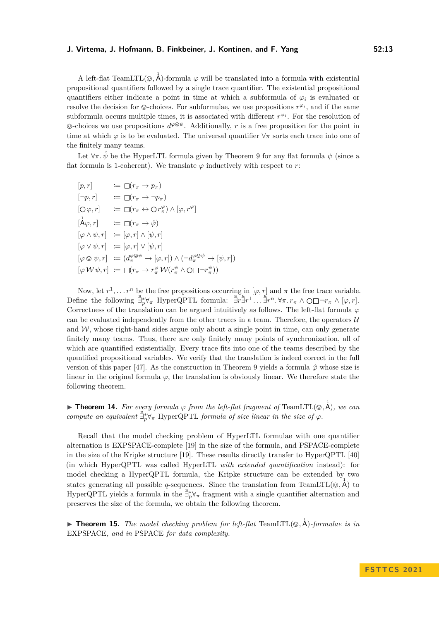A left-flat TeamLTL( $\varphi$ ,  $\vec{A}$ )-formula  $\varphi$  will be translated into a formula with existential<br>negliginal quantifiers followed by a givele trace quantifier. The quistential propositional propositional quantifiers followed by a single trace quantifier. The existential propositional quantifiers either indicate a point in time at which a subformula of  $\varphi_i$  is evaluated or resolve the decision for  $\otimes$ -choices. For subformulae, we use propositions  $r^{\varphi_i}$ , and if the same subformula occurs multiple times, it is associated with different  $r^{\varphi_i}$ . For the resolution of  $\Phi^{\otimes\phi}$ . Additionally, *r* is a free proposition for the point in time at which is into be evaluated. The universal quantifier  $\forall \sigma$  sents such trace into an a of time at which  $\varphi$  is to be evaluated. The universal quantifier  $\forall \pi$  sorts each trace into one of the finitely many teams.

Let  $\forall \pi$ .  $\hat{\psi}$  be the HyperLTL formula given by Theorem [9](#page-10-0) for any flat formula  $\psi$  (since a flat formula is 1-coherent). We translate  $\varphi$  inductively with respect to *r*:

$$
[p,r] \qquad := \Box(r_{\pi} \to p_{\pi})
$$
  
\n
$$
[\neg p,r] \qquad := \Box(r_{\pi} \to \neg p_{\pi})
$$
  
\n
$$
[\bigcirc \varphi,r] \qquad := \Box(r_{\pi} \leftrightarrow \bigcirc r_{\pi}^{\varphi}) \land [\varphi,r^{\varphi}]
$$
  
\n
$$
[\stackrel{\dagger}{\mathsf{A}}\varphi,r] \qquad := \Box(r_{\pi} \to \hat{\varphi})
$$
  
\n
$$
[\varphi \land \psi,r] \qquad := [\varphi,r] \land [\psi,r]
$$
  
\n
$$
[\varphi \lor \psi,r] \qquad := (d_{\pi}^{\varphi \otimes \psi} \to [\varphi,r]) \land (\neg d_{\pi}^{\varphi \otimes \psi} \to [\psi,r])
$$
  
\n
$$
[\varphi \lor \psi,r] \qquad := (\stackrel{\dagger}{\mathsf{A}}\varphi \lor \psi \to [\varphi,r]) \land (\neg d_{\pi}^{\varphi \otimes \psi} \to [\psi,r])
$$

Now, let  $r^1, \ldots r^n$  be the free propositions occurring in  $[\varphi, r]$  and  $\pi$  the free trace variable. Define the following  $\frac{u}{p} \nrightarrow{\psi} \pi$  HyperQPTL formula:  $\frac{u}{p} \nrightarrow{\psi} \pi$ ,  $\forall \pi$ ,  $\forall \pi$ ,  $r_{\pi} \wedge \bigcirc \Box \neg r_{\pi} \wedge [\varphi, r]$ . Correctness of the translation can be argued intuitively as follows. The left-flat formula *φ* can be evaluated independently from the other traces in a team. Therefore, the operators  $\mathcal U$ and  $W$ , whose right-hand sides argue only about a single point in time, can only generate finitely many teams. Thus, there are only finitely many points of synchronization, all of which are quantified existentially. Every trace fits into one of the teams described by the quantified propositional variables. We verify that the translation is indeed correct in the full version of this paper [\[47\]](#page-16-11). As the construction in Theorem [9](#page-10-0) yields a formula  $\hat{\varphi}$  whose size is linear in the original formula  $\varphi$ , the translation is obviously linear. We therefore state the following theorem.

<span id="page-12-0"></span>**► Theorem 14.** For every formula  $\varphi$  from the left-flat fragment of TeamLTL( $\varphi$ ,  $\vec{A}$ ), we can *compute an equivalent*  $\frac{u}{L} \nabla \nabla \nabla \nabla \nabla \cdot \nabla P \nabla P$  *formula of size linear in the size of*  $\varphi$ *.* 

Recall that the model checking problem of HyperLTL formulae with one quantifier alternation is EXPSPACE-complete [\[19\]](#page-14-6) in the size of the formula, and PSPACE-complete in the size of the Kripke structure [\[19\]](#page-14-6). These results directly transfer to HyperQPTL [\[40\]](#page-16-4) (in which HyperQPTL was called HyperLTL *with extended quantification* instead): for model checking a HyperQPTL formula, the Kripke structure can be extended by two states generating all possible *q*-sequences. Since the translation from TeamLTL( $\varphi$ ,  $\vec{A}$ ) to HyperQPTL yields a formula in the  $\frac{u}{\pm p} \forall_{\pi}$  fragment with a single quantifier alternation and preserves the size of the formula, we obtain the following theorem.

<span id="page-12-1"></span>**Finder 15.** The model checking problem for left-flat TeamLTL $(\mathcal{Q}, \mathring{A})$ -formulae is in EXPSPACE*, and in* PSPACE *for data complexity.*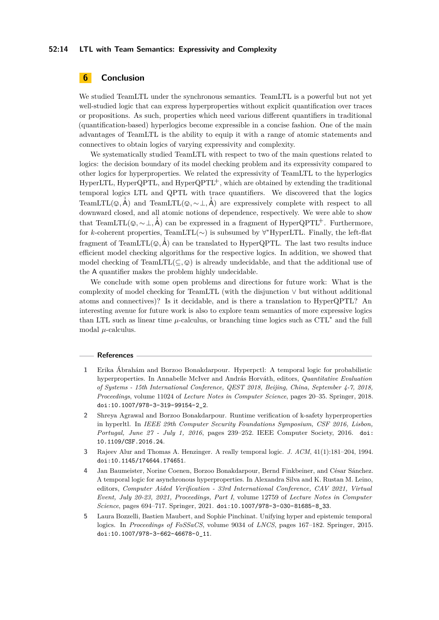#### **52:14 LTL with Team Semantics: Expressivity and Complexity**

# **6 Conclusion**

We studied TeamLTL under the synchronous semantics. TeamLTL is a powerful but not yet well-studied logic that can express hyperproperties without explicit quantification over traces or propositions. As such, properties which need various different quantifiers in traditional (quantification-based) hyperlogics become expressible in a concise fashion. One of the main advantages of TeamLTL is the ability to equip it with a range of atomic statements and connectives to obtain logics of varying expressivity and complexity.

We systematically studied TeamLTL with respect to two of the main questions related to logics: the decision boundary of its model checking problem and its expressivity compared to other logics for hyperproperties. We related the expressivity of TeamLTL to the hyperlogics HyperLTL, Hyper $QPTL$ , and Hyper $QPTL^+$ , which are obtained by extending the traditional temporal logics LTL and QPTL with trace quantifiers. We discovered that the logics TeamLTL( $\varphi, \overrightarrow{A}$ ) and TeamLTL( $\varphi, \sim \perp, \overrightarrow{A}$ ) are expressively complete with respect to all the set of all the set of dependence are estimated We gave able to all the set of dependence are estimated We gave a blac downward closed, and all atomic notions of dependence, respectively. We were able to show that TeamLTL( $\varphi, \sim \perp, \vec{A}$ ) can be expressed in a fragment of HyperQPTL<sup>+</sup>. Furthermore,<br>for h sekerations reporting TeamLTL( $\downarrow$ ) is subsumed by  $\forall$ \*UrnerLTL. Finally, the left flat for *k*-coherent properties, TeamLTL(∼) is subsumed by ∀ <sup>∗</sup>HyperLTL. Finally, the left-flat fragment of TeamLTL $(\mathcal{Q}, \mathring{A})$  can be translated to HyperQPTL. The last two results induce efficient model checking algorithms for the respective logics. In addition, we showed that model checking of TeamLTL( $\subseteq$ ,  $\otimes$ ) is already undecidable, and that the additional use of the A quantifier makes the problem highly undecidable.

We conclude with some open problems and directions for future work: What is the complexity of model checking for TeamLTL (with the disjunction ∨ but without additional atoms and connectives)? Is it decidable, and is there a translation to HyperQPTL? An interesting avenue for future work is also to explore team semantics of more expressive logics than LTL such as linear time  $\mu$ -calculus, or branching time logics such as  $\text{CTL}^*$  and the full modal  $\mu$ -calculus.

#### **References**

- <span id="page-13-1"></span>**1** Erika Ábrahám and Borzoo Bonakdarpour. Hyperpctl: A temporal logic for probabilistic hyperproperties. In Annabelle McIver and András Horváth, editors, *Quantitative Evaluation of Systems - 15th International Conference, QEST 2018, Beijing, China, September 4-7, 2018, Proceedings*, volume 11024 of *Lecture Notes in Computer Science*, pages 20–35. Springer, 2018. [doi:10.1007/978-3-319-99154-2\\_2](https://doi.org/10.1007/978-3-319-99154-2_2).
- <span id="page-13-2"></span>**2** Shreya Agrawal and Borzoo Bonakdarpour. Runtime verification of k-safety hyperproperties in hyperltl. In *IEEE 29th Computer Security Foundations Symposium, CSF 2016, Lisbon, Portugal, June 27 - July 1, 2016*, pages 239–252. IEEE Computer Society, 2016. [doi:](https://doi.org/10.1109/CSF.2016.24) [10.1109/CSF.2016.24](https://doi.org/10.1109/CSF.2016.24).
- <span id="page-13-3"></span>**3** Rajeev Alur and Thomas A. Henzinger. A really temporal logic. *J. ACM*, 41(1):181–204, 1994. [doi:10.1145/174644.174651](https://doi.org/10.1145 / 174644.174651).
- <span id="page-13-0"></span>**4** Jan Baumeister, Norine Coenen, Borzoo Bonakdarpour, Bernd Finkbeiner, and César Sánchez. A temporal logic for asynchronous hyperproperties. In Alexandra Silva and K. Rustan M. Leino, editors, *Computer Aided Verification - 33rd International Conference, CAV 2021, Virtual Event, July 20-23, 2021, Proceedings, Part I*, volume 12759 of *Lecture Notes in Computer Science*, pages 694–717. Springer, 2021. [doi:10.1007/978-3-030-81685-8\\_33](https://doi.org/10.1007/978-3-030-81685-8_33).
- <span id="page-13-4"></span>**5** Laura Bozzelli, Bastien Maubert, and Sophie Pinchinat. Unifying hyper and epistemic temporal logics. In *Proceedings of FoSSaCS*, volume 9034 of *LNCS*, pages 167–182. Springer, 2015. [doi:10.1007/978-3-662-46678-0\\_11](https://doi.org/10.1007/978-3-662-46678-0_11).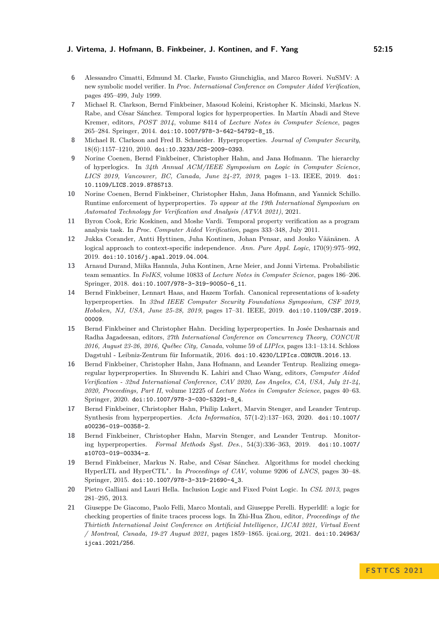- <span id="page-14-0"></span>**6** Alessandro Cimatti, Edmund M. Clarke, Fausto Giunchiglia, and Marco Roveri. NuSMV: A new symbolic model verifier. In *Proc. International Conference on Computer Aided Verification*, pages 495–499, July 1999.
- <span id="page-14-3"></span>**7** Michael R. Clarkson, Bernd Finkbeiner, Masoud Koleini, Kristopher K. Micinski, Markus N. Rabe, and César Sánchez. Temporal logics for hyperproperties. In Martín Abadi and Steve Kremer, editors, *POST 2014*, volume 8414 of *Lecture Notes in Computer Science*, pages 265–284. Springer, 2014. [doi:10.1007/978-3-642-54792-8\\_15](https://doi.org/10.1007/978-3-642-54792-8_15).
- <span id="page-14-14"></span>**8** Michael R. Clarkson and Fred B. Schneider. Hyperproperties. *Journal of Computer Security*, 18(6):1157–1210, 2010. [doi:10.3233/JCS-2009-0393](https://doi.org/10.3233/JCS-2009-0393).
- <span id="page-14-4"></span>**9** Norine Coenen, Bernd Finkbeiner, Christopher Hahn, and Jana Hofmann. The hierarchy of hyperlogics. In *34th Annual ACM/IEEE Symposium on Logic in Computer Science, LICS 2019, Vancouver, BC, Canada, June 24-27, 2019*, pages 1–13. IEEE, 2019. [doi:](https://doi.org/10.1109/LICS.2019.8785713) [10.1109/LICS.2019.8785713](https://doi.org/10.1109/LICS.2019.8785713).
- <span id="page-14-13"></span>**10** Norine Coenen, Bernd Finkbeiner, Christopher Hahn, Jana Hofmann, and Yannick Schillo. Runtime enforcement of hyperproperties. *To appear at the 19th International Symposium on Automated Technology for Verification and Analysis (ATVA 2021)*, 2021.
- <span id="page-14-1"></span>**11** Byron Cook, Eric Koskinen, and Moshe Vardi. Temporal property verification as a program analysis task. In *Proc. Computer Aided Verification*, pages 333–348, July 2011.
- <span id="page-14-8"></span>**12** Jukka Corander, Antti Hyttinen, Juha Kontinen, Johan Pensar, and Jouko Väänänen. A logical approach to context-specific independence. *Ann. Pure Appl. Logic*, 170(9):975–992, 2019. [doi:10.1016/j.apal.2019.04.004](https://doi.org/10.1016/j.apal.2019.04.004).
- <span id="page-14-7"></span>**13** Arnaud Durand, Miika Hannula, Juha Kontinen, Arne Meier, and Jonni Virtema. Probabilistic team semantics. In *FoIKS*, volume 10833 of *Lecture Notes in Computer Science*, pages 186–206. Springer, 2018. [doi:10.1007/978-3-319-90050-6\\_11](https://doi.org/10.1007/978-3-319-90050-6_11).
- <span id="page-14-15"></span>**14** Bernd Finkbeiner, Lennart Haas, and Hazem Torfah. Canonical representations of k-safety hyperproperties. In *32nd IEEE Computer Security Foundations Symposium, CSF 2019, Hoboken, NJ, USA, June 25-28, 2019*, pages 17–31. IEEE, 2019. [doi:10.1109/CSF.2019.](https://doi.org/10.1109/CSF.2019.00009) [00009](https://doi.org/10.1109/CSF.2019.00009).
- <span id="page-14-11"></span>**15** Bernd Finkbeiner and Christopher Hahn. Deciding hyperproperties. In Josée Desharnais and Radha Jagadeesan, editors, *27th International Conference on Concurrency Theory, CONCUR 2016, August 23-26, 2016, Québec City, Canada*, volume 59 of *LIPIcs*, pages 13:1–13:14. Schloss Dagstuhl - Leibniz-Zentrum für Informatik, 2016. [doi:10.4230/LIPIcs.CONCUR.2016.13](https://doi.org/10.4230/LIPIcs.CONCUR.2016.13).
- <span id="page-14-10"></span>**16** Bernd Finkbeiner, Christopher Hahn, Jana Hofmann, and Leander Tentrup. Realizing ømegaregular hyperproperties. In Shuvendu K. Lahiri and Chao Wang, editors, *Computer Aided Verification - 32nd International Conference, CAV 2020, Los Angeles, CA, USA, July 21-24, 2020, Proceedings, Part II*, volume 12225 of *Lecture Notes in Computer Science*, pages 40–63. Springer, 2020. [doi:10.1007/978-3-030-53291-8\\_4](https://doi.org/10.1007/978-3-030-53291-8_4).
- <span id="page-14-2"></span>**17** Bernd Finkbeiner, Christopher Hahn, Philip Lukert, Marvin Stenger, and Leander Tentrup. Synthesis from hyperproperties. *Acta Informatica*, 57(1-2):137–163, 2020. [doi:10.1007/](https://doi.org/10.1007/s00236-019-00358-2) [s00236-019-00358-2](https://doi.org/10.1007/s00236-019-00358-2).
- <span id="page-14-12"></span>**18** Bernd Finkbeiner, Christopher Hahn, Marvin Stenger, and Leander Tentrup. Monitoring hyperproperties. *Formal Methods Syst. Des.*, 54(3):336–363, 2019. [doi:10.1007/](https://doi.org/10.1007/s10703-019-00334-z) [s10703-019-00334-z](https://doi.org/10.1007/s10703-019-00334-z).
- <span id="page-14-6"></span>**19** Bernd Finkbeiner, Markus N. Rabe, and César Sánchez. Algorithms for model checking HyperLTL and HyperCTL<sup>∗</sup> . In *Proceedings of CAV*, volume 9206 of *LNCS*, pages 30–48. Springer, 2015. [doi:10.1007/978-3-319-21690-4\\_3](https://doi.org/10.1007/978-3-319-21690-4_3).
- <span id="page-14-5"></span>**20** Pietro Galliani and Lauri Hella. Inclusion Logic and Fixed Point Logic. In *CSL 2013*, pages 281–295, 2013.
- <span id="page-14-9"></span>**21** Giuseppe De Giacomo, Paolo Felli, Marco Montali, and Giuseppe Perelli. Hyperldlf: a logic for checking properties of finite traces process logs. In Zhi-Hua Zhou, editor, *Proceedings of the Thirtieth International Joint Conference on Artificial Intelligence, IJCAI 2021, Virtual Event / Montreal, Canada, 19-27 August 2021*, pages 1859–1865. ijcai.org, 2021. [doi:10.24963/](https://doi.org/10.24963/ijcai.2021/256) [ijcai.2021/256](https://doi.org/10.24963/ijcai.2021/256).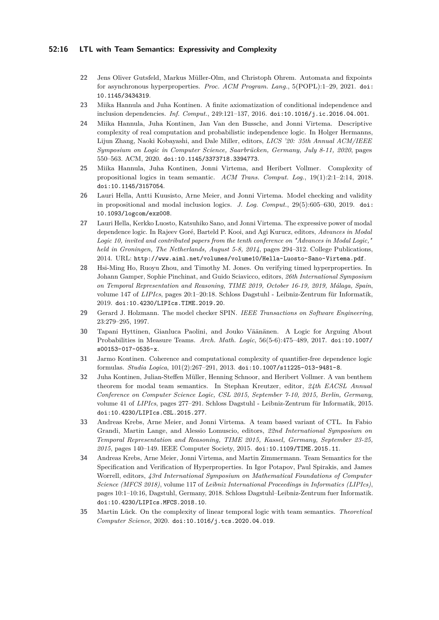#### **52:16 LTL with Team Semantics: Expressivity and Complexity**

- <span id="page-15-10"></span>**22** Jens Oliver Gutsfeld, Markus Müller-Olm, and Christoph Ohrem. Automata and fixpoints for asynchronous hyperproperties. *Proc. ACM Program. Lang.*, 5(POPL):1–29, 2021. [doi:](https://doi.org/10.1145/3434319) [10.1145/3434319](https://doi.org/10.1145/3434319).
- <span id="page-15-4"></span>**23** Miika Hannula and Juha Kontinen. A finite axiomatization of conditional independence and inclusion dependencies. *Inf. Comput.*, 249:121–137, 2016. [doi:10.1016/j.ic.2016.04.001](https://doi.org/10.1016/j.ic.2016.04.001).
- <span id="page-15-5"></span>**24** Miika Hannula, Juha Kontinen, Jan Van den Bussche, and Jonni Virtema. Descriptive complexity of real computation and probabilistic independence logic. In Holger Hermanns, Lijun Zhang, Naoki Kobayashi, and Dale Miller, editors, *LICS '20: 35th Annual ACM/IEEE Symposium on Logic in Computer Science, Saarbrücken, Germany, July 8-11, 2020*, pages 550–563. ACM, 2020. [doi:10.1145/3373718.3394773](https://doi.org/10.1145/3373718.3394773).
- <span id="page-15-12"></span>**25** Miika Hannula, Juha Kontinen, Jonni Virtema, and Heribert Vollmer. Complexity of propositional logics in team semantic. *ACM Trans. Comput. Log.*, 19(1):2:1–2:14, 2018. [doi:10.1145/3157054](https://doi.org/10.1145/3157054).
- <span id="page-15-7"></span>**26** Lauri Hella, Antti Kuusisto, Arne Meier, and Jonni Virtema. Model checking and validity in propositional and modal inclusion logics. *J. Log. Comput.*, 29(5):605–630, 2019. [doi:](https://doi.org/10.1093/logcom/exz008) [10.1093/logcom/exz008](https://doi.org/10.1093/logcom/exz008).
- <span id="page-15-8"></span>**27** Lauri Hella, Kerkko Luosto, Katsuhiko Sano, and Jonni Virtema. The expressive power of modal dependence logic. In Rajeev Goré, Barteld P. Kooi, and Agi Kurucz, editors, *Advances in Modal Logic 10, invited and contributed papers from the tenth conference on "Advances in Modal Logic," held in Groningen, The Netherlands, August 5-8, 2014*, pages 294–312. College Publications, 2014. URL: <http://www.aiml.net/volumes/volume10/Hella-Luosto-Sano-Virtema.pdf>.
- <span id="page-15-11"></span>**28** Hsi-Ming Ho, Ruoyu Zhou, and Timothy M. Jones. On verifying timed hyperproperties. In Johann Gamper, Sophie Pinchinat, and Guido Sciavicco, editors, *26th International Symposium on Temporal Representation and Reasoning, TIME 2019, October 16-19, 2019, Málaga, Spain*, volume 147 of *LIPIcs*, pages 20:1–20:18. Schloss Dagstuhl - Leibniz-Zentrum für Informatik, 2019. [doi:10.4230/LIPIcs.TIME.2019.20](https://doi.org/10.4230/LIPIcs.TIME.2019.20).
- <span id="page-15-0"></span>**29** Gerard J. Holzmann. The model checker SPIN. *IEEE Transactions on Software Engineering*, 23:279–295, 1997.
- <span id="page-15-6"></span>**30** Tapani Hyttinen, Gianluca Paolini, and Jouko Väänänen. A Logic for Arguing About Probabilities in Measure Teams. *Arch. Math. Logic*, 56(5-6):475–489, 2017. [doi:10.1007/](https://doi.org/10.1007/s00153-017-0535-x) [s00153-017-0535-x](https://doi.org/10.1007/s00153-017-0535-x).
- <span id="page-15-13"></span>**31** Jarmo Kontinen. Coherence and computational complexity of quantifier-free dependence logic formulas. *Studia Logica*, 101(2):267–291, 2013. [doi:10.1007/s11225-013-9481-8](https://doi.org/10.1007/s11225-013-9481-8).
- <span id="page-15-9"></span>**32** Juha Kontinen, Julian-Steffen Müller, Henning Schnoor, and Heribert Vollmer. A van benthem theorem for modal team semantics. In Stephan Kreutzer, editor, *24th EACSL Annual Conference on Computer Science Logic, CSL 2015, September 7-10, 2015, Berlin, Germany*, volume 41 of *LIPIcs*, pages 277–291. Schloss Dagstuhl - Leibniz-Zentrum für Informatik, 2015. [doi:10.4230/LIPIcs.CSL.2015.277](https://doi.org/10.4230/LIPIcs.CSL.2015.277).
- <span id="page-15-3"></span>**33** Andreas Krebs, Arne Meier, and Jonni Virtema. A team based variant of CTL. In Fabio Grandi, Martin Lange, and Alessio Lomuscio, editors, *22nd International Symposium on Temporal Representation and Reasoning, TIME 2015, Kassel, Germany, September 23-25, 2015*, pages 140–149. IEEE Computer Society, 2015. [doi:10.1109/TIME.2015.11](https://doi.org/10.1109/TIME.2015.11).
- <span id="page-15-1"></span>**34** Andreas Krebs, Arne Meier, Jonni Virtema, and Martin Zimmermann. Team Semantics for the Specification and Verification of Hyperproperties. In Igor Potapov, Paul Spirakis, and James Worrell, editors, *43rd International Symposium on Mathematical Foundations of Computer Science (MFCS 2018)*, volume 117 of *Leibniz International Proceedings in Informatics (LIPIcs)*, pages 10:1–10:16, Dagstuhl, Germany, 2018. Schloss Dagstuhl–Leibniz-Zentrum fuer Informatik. [doi:10.4230/LIPIcs.MFCS.2018.10](https://doi.org/10.4230/LIPIcs.MFCS.2018.10).
- <span id="page-15-2"></span>**35** Martin Lück. On the complexity of linear temporal logic with team semantics. *Theoretical Computer Science*, 2020. [doi:10.1016/j.tcs.2020.04.019](https://doi.org/10.1016/j.tcs.2020.04.019).